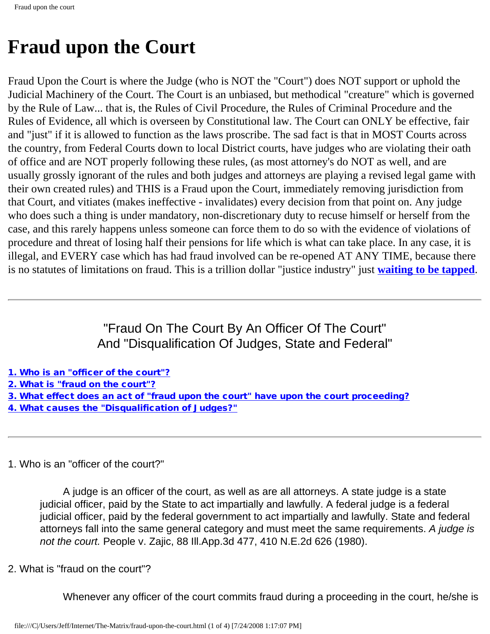## **Fraud upon the Court**

Fraud Upon the Court is where the Judge (who is NOT the "Court") does NOT support or uphold the Judicial Machinery of the Court. The Court is an unbiased, but methodical "creature" which is governed by the Rule of Law... that is, the Rules of Civil Procedure, the Rules of Criminal Procedure and the Rules of Evidence, all which is overseen by Constitutional law. The Court can ONLY be effective, fair and "just" if it is allowed to function as the laws proscribe. The sad fact is that in MOST Courts across the country, from Federal Courts down to local District courts, have judges who are violating their oath of office and are NOT properly following these rules, (as most attorney's do NOT as well, and are usually grossly ignorant of the rules and both judges and attorneys are playing a revised legal game with their own created rules) and THIS is a Fraud upon the Court, immediately removing jurisdiction from that Court, and vitiates (makes ineffective - invalidates) every decision from that point on. Any judge who does such a thing is under mandatory, non-discretionary duty to recuse himself or herself from the case, and this rarely happens unless someone can force them to do so with the evidence of violations of procedure and threat of losing half their pensions for life which is what can take place. In any case, it is illegal, and EVERY case which has had fraud involved can be re-opened AT ANY TIME, because there is no statutes of limitations on fraud. This is a trillion dollar "justice industry" just **[waiting to be tapped](http://foundationfortruthinlaw.org/)**.

> "Fraud On The Court By An Officer Of The Court" And "Disqualification Of Judges, State and Federal"

- [1. Who is an "officer of the court"?](http://www.ballew.com/bob/htm/fotc.htm#01)
- [2. What is "fraud on the court"?](http://www.ballew.com/bob/htm/fotc.htm#02)
- [3. What effect does an act of "fraud upon the court" have upon the court proceeding?](http://www.ballew.com/bob/htm/fotc.htm#03)
- [4. What causes the "Disqualification of Judges?"](http://www.ballew.com/bob/htm/fotc.htm#04)
- 1. Who is an "officer of the court?"

 A judge is an officer of the court, as well as are all attorneys. A state judge is a state judicial officer, paid by the State to act impartially and lawfully. A federal judge is a federal judicial officer, paid by the federal government to act impartially and lawfully. State and federal attorneys fall into the same general category and must meet the same requirements. *A judge is not the court.* People v. Zajic, 88 Ill.App.3d 477, 410 N.E.2d 626 (1980).

2. What is "fraud on the court"?

Whenever any officer of the court commits fraud during a proceeding in the court, he/she is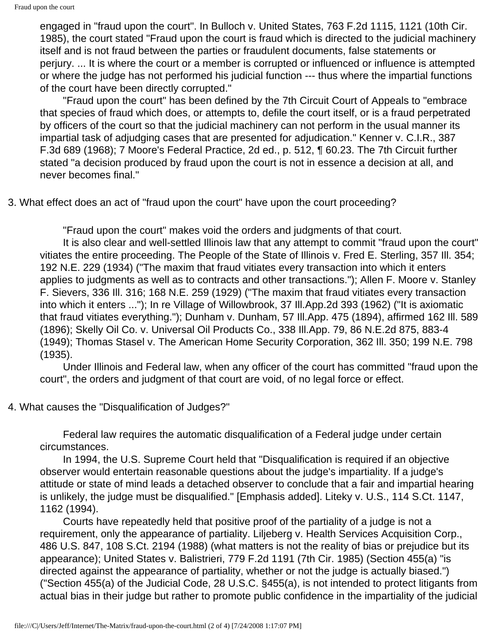engaged in "fraud upon the court". In Bulloch v. United States, 763 F.2d 1115, 1121 (10th Cir. 1985), the court stated "Fraud upon the court is fraud which is directed to the judicial machinery itself and is not fraud between the parties or fraudulent documents, false statements or perjury. ... It is where the court or a member is corrupted or influenced or influence is attempted or where the judge has not performed his judicial function --- thus where the impartial functions of the court have been directly corrupted."

 "Fraud upon the court" has been defined by the 7th Circuit Court of Appeals to "embrace that species of fraud which does, or attempts to, defile the court itself, or is a fraud perpetrated by officers of the court so that the judicial machinery can not perform in the usual manner its impartial task of adjudging cases that are presented for adjudication." Kenner v. C.I.R., 387 F.3d 689 (1968); 7 Moore's Federal Practice, 2d ed., p. 512, ¶ 60.23. The 7th Circuit further stated "a decision produced by fraud upon the court is not in essence a decision at all, and never becomes final."

3. What effect does an act of "fraud upon the court" have upon the court proceeding?

"Fraud upon the court" makes void the orders and judgments of that court.

 It is also clear and well-settled Illinois law that any attempt to commit "fraud upon the court" vitiates the entire proceeding. The People of the State of Illinois v. Fred E. Sterling, 357 Ill. 354; 192 N.E. 229 (1934) ("The maxim that fraud vitiates every transaction into which it enters applies to judgments as well as to contracts and other transactions."); Allen F. Moore v. Stanley F. Sievers, 336 Ill. 316; 168 N.E. 259 (1929) ("The maxim that fraud vitiates every transaction into which it enters ..."); In re Village of Willowbrook, 37 Ill.App.2d 393 (1962) ("It is axiomatic that fraud vitiates everything."); Dunham v. Dunham, 57 Ill.App. 475 (1894), affirmed 162 Ill. 589 (1896); Skelly Oil Co. v. Universal Oil Products Co., 338 Ill.App. 79, 86 N.E.2d 875, 883-4 (1949); Thomas Stasel v. The American Home Security Corporation, 362 Ill. 350; 199 N.E. 798 (1935).

 Under Illinois and Federal law, when any officer of the court has committed "fraud upon the court", the orders and judgment of that court are void, of no legal force or effect.

4. What causes the "Disqualification of Judges?"

 Federal law requires the automatic disqualification of a Federal judge under certain circumstances.

 In 1994, the U.S. Supreme Court held that "Disqualification is required if an objective observer would entertain reasonable questions about the judge's impartiality. If a judge's attitude or state of mind leads a detached observer to conclude that a fair and impartial hearing is unlikely, the judge must be disqualified." [Emphasis added]. Liteky v. U.S., 114 S.Ct. 1147, 1162 (1994).

 Courts have repeatedly held that positive proof of the partiality of a judge is not a requirement, only the appearance of partiality. Liljeberg v. Health Services Acquisition Corp., 486 U.S. 847, 108 S.Ct. 2194 (1988) (what matters is not the reality of bias or prejudice but its appearance); United States v. Balistrieri, 779 F.2d 1191 (7th Cir. 1985) (Section 455(a) "is directed against the appearance of partiality, whether or not the judge is actually biased.") ("Section 455(a) of the Judicial Code, 28 U.S.C. §455(a), is not intended to protect litigants from actual bias in their judge but rather to promote public confidence in the impartiality of the judicial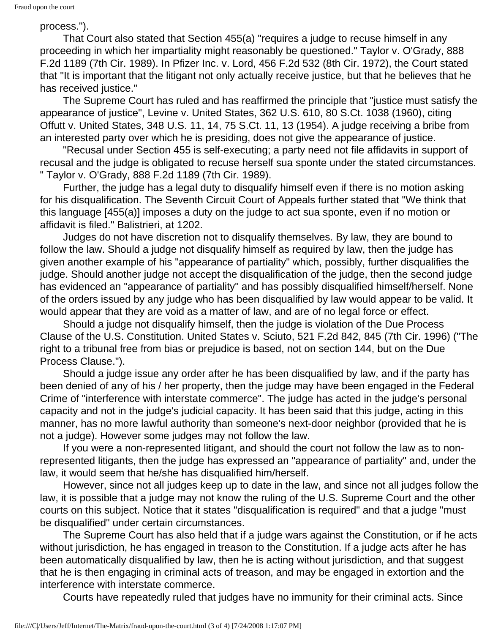## process.").

 That Court also stated that Section 455(a) "requires a judge to recuse himself in any proceeding in which her impartiality might reasonably be questioned." Taylor v. O'Grady, 888 F.2d 1189 (7th Cir. 1989). In Pfizer Inc. v. Lord, 456 F.2d 532 (8th Cir. 1972), the Court stated that "It is important that the litigant not only actually receive justice, but that he believes that he has received justice."

 The Supreme Court has ruled and has reaffirmed the principle that "justice must satisfy the appearance of justice", Levine v. United States, 362 U.S. 610, 80 S.Ct. 1038 (1960), citing Offutt v. United States, 348 U.S. 11, 14, 75 S.Ct. 11, 13 (1954). A judge receiving a bribe from an interested party over which he is presiding, does not give the appearance of justice.

 "Recusal under Section 455 is self-executing; a party need not file affidavits in support of recusal and the judge is obligated to recuse herself sua sponte under the stated circumstances. " Taylor v. O'Grady, 888 F.2d 1189 (7th Cir. 1989).

 Further, the judge has a legal duty to disqualify himself even if there is no motion asking for his disqualification. The Seventh Circuit Court of Appeals further stated that "We think that this language [455(a)] imposes a duty on the judge to act sua sponte, even if no motion or affidavit is filed." Balistrieri, at 1202.

 Judges do not have discretion not to disqualify themselves. By law, they are bound to follow the law. Should a judge not disqualify himself as required by law, then the judge has given another example of his "appearance of partiality" which, possibly, further disqualifies the judge. Should another judge not accept the disqualification of the judge, then the second judge has evidenced an "appearance of partiality" and has possibly disqualified himself/herself. None of the orders issued by any judge who has been disqualified by law would appear to be valid. It would appear that they are void as a matter of law, and are of no legal force or effect.

 Should a judge not disqualify himself, then the judge is violation of the Due Process Clause of the U.S. Constitution. United States v. Sciuto, 521 F.2d 842, 845 (7th Cir. 1996) ("The right to a tribunal free from bias or prejudice is based, not on section 144, but on the Due Process Clause.").

 Should a judge issue any order after he has been disqualified by law, and if the party has been denied of any of his / her property, then the judge may have been engaged in the Federal Crime of "interference with interstate commerce". The judge has acted in the judge's personal capacity and not in the judge's judicial capacity. It has been said that this judge, acting in this manner, has no more lawful authority than someone's next-door neighbor (provided that he is not a judge). However some judges may not follow the law.

 If you were a non-represented litigant, and should the court not follow the law as to nonrepresented litigants, then the judge has expressed an "appearance of partiality" and, under the law, it would seem that he/she has disqualified him/herself.

 However, since not all judges keep up to date in the law, and since not all judges follow the law, it is possible that a judge may not know the ruling of the U.S. Supreme Court and the other courts on this subject. Notice that it states "disqualification is required" and that a judge "must be disqualified" under certain circumstances.

 The Supreme Court has also held that if a judge wars against the Constitution, or if he acts without jurisdiction, he has engaged in treason to the Constitution. If a judge acts after he has been automatically disqualified by law, then he is acting without jurisdiction, and that suggest that he is then engaging in criminal acts of treason, and may be engaged in extortion and the interference with interstate commerce.

Courts have repeatedly ruled that judges have no immunity for their criminal acts. Since